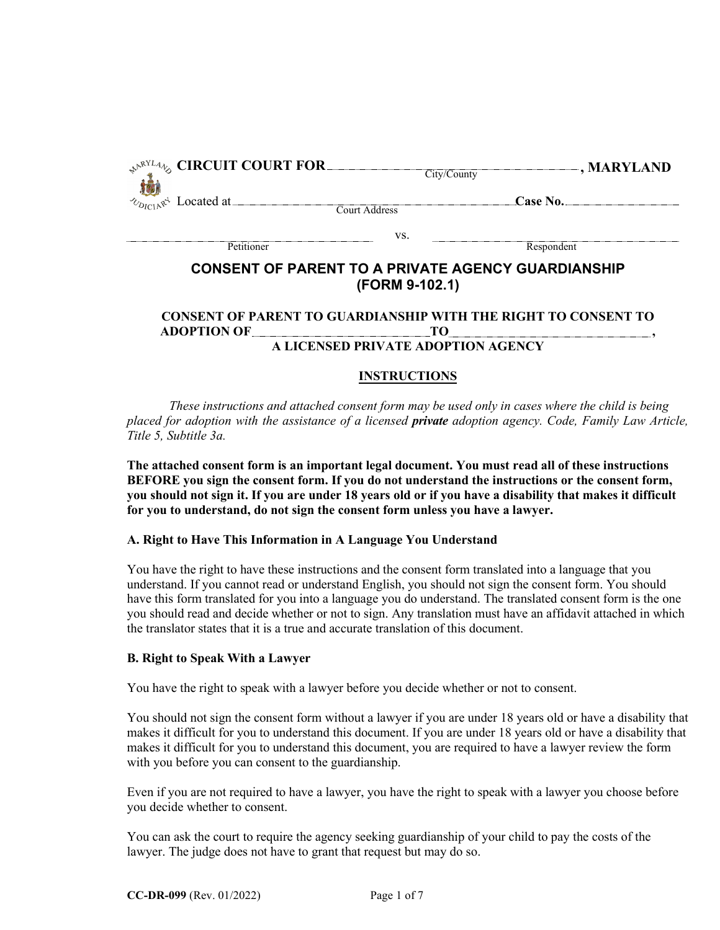| $\mathcal{P}^{\text{RYL}_{4}}$ CIRCUIT COURT FOR. |               | City/County | $\Box$ , MARYLAND |
|---------------------------------------------------|---------------|-------------|-------------------|
| $\text{V}_{D\text{ICIA}}$ Located at              | Court Address |             | Case No.          |
|                                                   | VS.           |             |                   |

Petitioner Respondent

# **CONSENT OF PARENT TO A PRIVATE AGENCY GUARDIANSHIP (FORM 9-102.1)**

#### **CONSENT OF PARENT TO GUARDIANSHIP WITH THE RIGHT TO CONSENT TO ADOPTION OF TO , A LICENSED PRIVATE ADOPTION AGENCY**

#### **INSTRUCTIONS**

*These instructions and attached consent form may be used only in cases where the child is being placed for adoption with the assistance of a licensed private adoption agency. Code, Family Law Article, Title 5, Subtitle 3a.* 

**The attached consent form is an important legal document. You must read all of these instructions BEFORE you sign the consent form. If you do not understand the instructions or the consent form, you should not sign it. If you are under 18 years old or if you have a disability that makes it difficult for you to understand, do not sign the consent form unless you have a lawyer.** 

#### **A. Right to Have This Information in A Language You Understand**

You have the right to have these instructions and the consent form translated into a language that you understand. If you cannot read or understand English, you should not sign the consent form. You should have this form translated for you into a language you do understand. The translated consent form is the one you should read and decide whether or not to sign. Any translation must have an affidavit attached in which the translator states that it is a true and accurate translation of this document.

#### **B. Right to Speak With a Lawyer**

You have the right to speak with a lawyer before you decide whether or not to consent.

You should not sign the consent form without a lawyer if you are under 18 years old or have a disability that makes it difficult for you to understand this document. If you are under 18 years old or have a disability that makes it difficult for you to understand this document, you are required to have a lawyer review the form with you before you can consent to the guardianship.

Even if you are not required to have a lawyer, you have the right to speak with a lawyer you choose before you decide whether to consent.

You can ask the court to require the agency seeking guardianship of your child to pay the costs of the lawyer. The judge does not have to grant that request but may do so.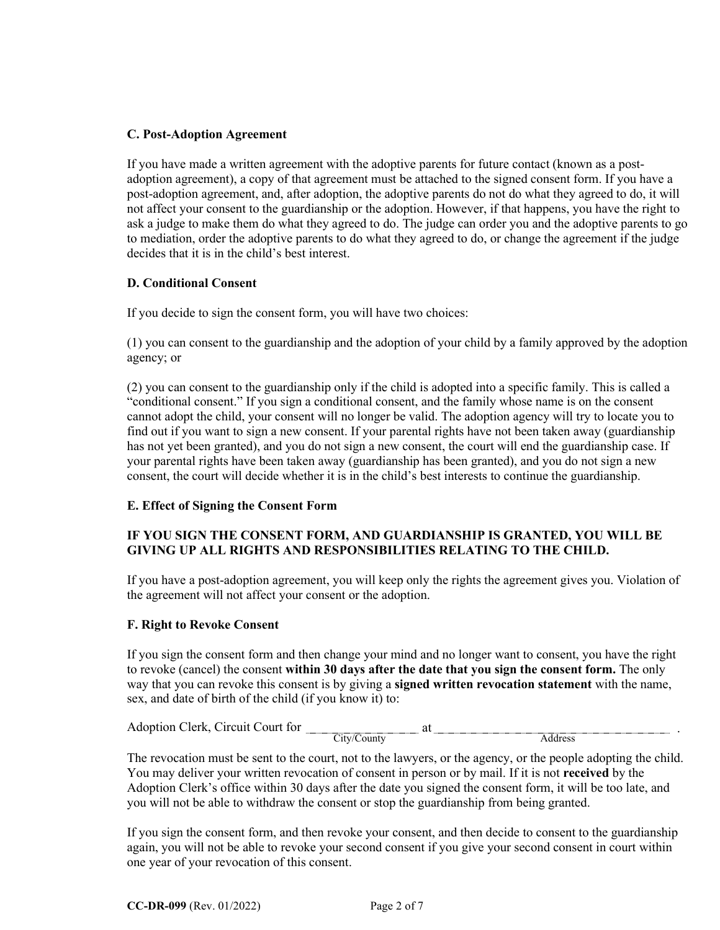### **C. Post-Adoption Agreement**

If you have made a written agreement with the adoptive parents for future contact (known as a postadoption agreement), a copy of that agreement must be attached to the signed consent form. If you have a post-adoption agreement, and, after adoption, the adoptive parents do not do what they agreed to do, it will not affect your consent to the guardianship or the adoption. However, if that happens, you have the right to ask a judge to make them do what they agreed to do. The judge can order you and the adoptive parents to go to mediation, order the adoptive parents to do what they agreed to do, or change the agreement if the judge decides that it is in the child's best interest.

### **D. Conditional Consent**

If you decide to sign the consent form, you will have two choices:

(1) you can consent to the guardianship and the adoption of your child by a family approved by the adoption agency; or

(2) you can consent to the guardianship only if the child is adopted into a specific family. This is called a "conditional consent." If you sign a conditional consent, and the family whose name is on the consent cannot adopt the child, your consent will no longer be valid. The adoption agency will try to locate you to find out if you want to sign a new consent. If your parental rights have not been taken away (guardianship has not yet been granted), and you do not sign a new consent, the court will end the guardianship case. If your parental rights have been taken away (guardianship has been granted), and you do not sign a new consent, the court will decide whether it is in the child's best interests to continue the guardianship.

#### **E. Effect of Signing the Consent Form**

### **IF YOU SIGN THE CONSENT FORM, AND GUARDIANSHIP IS GRANTED, YOU WILL BE GIVING UP ALL RIGHTS AND RESPONSIBILITIES RELATING TO THE CHILD.**

If you have a post-adoption agreement, you will keep only the rights the agreement gives you. Violation of the agreement will not affect your consent or the adoption.

#### **F. Right to Revoke Consent**

If you sign the consent form and then change your mind and no longer want to consent, you have the right to revoke (cancel) the consent **within 30 days after the date that you sign the consent form.** The only way that you can revoke this consent is by giving a **signed written revocation statement** with the name, sex, and date of birth of the child (if you know it) to:

| Ado<br>erk<br>.11°C1111<br>tor<br>വില് | .<br>       |  |
|----------------------------------------|-------------|--|
|                                        | ounty<br>◡ェ |  |

The revocation must be sent to the court, not to the lawyers, or the agency, or the people adopting the child. You may deliver your written revocation of consent in person or by mail. If it is not **received** by the Adoption Clerk's office within 30 days after the date you signed the consent form, it will be too late, and you will not be able to withdraw the consent or stop the guardianship from being granted.

If you sign the consent form, and then revoke your consent, and then decide to consent to the guardianship again, you will not be able to revoke your second consent if you give your second consent in court within one year of your revocation of this consent.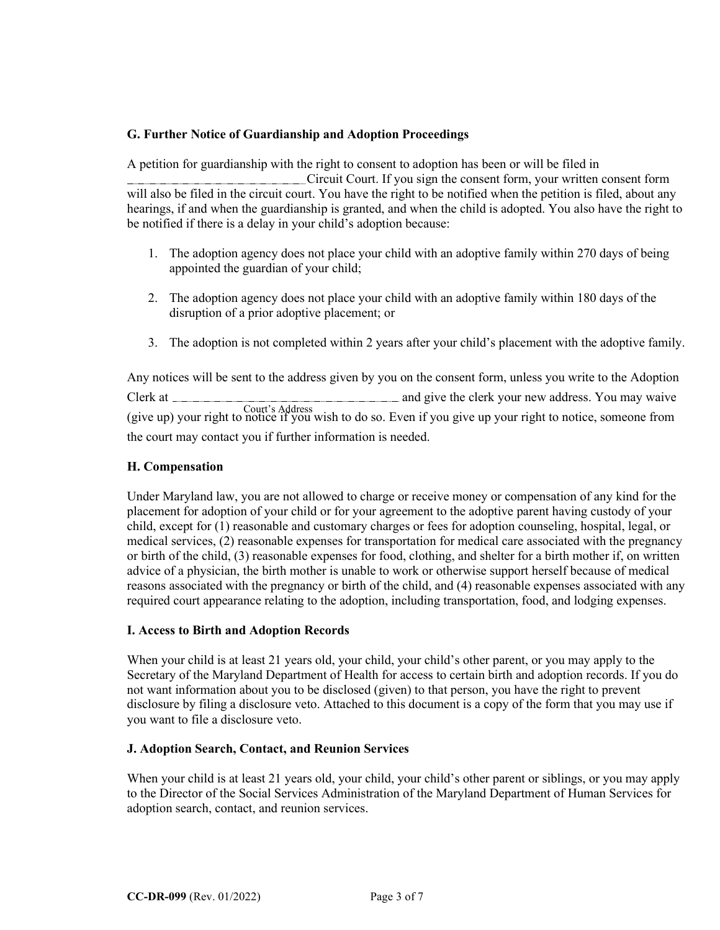### **G. Further Notice of Guardianship and Adoption Proceedings**

A petition for guardianship with the right to consent to adoption has been or will be filed in Circuit Court. If you sign the consent form, your written consent form

will also be filed in the circuit court. You have the right to be notified when the petition is filed, about any hearings, if and when the guardianship is granted, and when the child is adopted. You also have the right to be notified if there is a delay in your child's adoption because:

- 1. The adoption agency does not place your child with an adoptive family within 270 days of being appointed the guardian of your child;
- 2. The adoption agency does not place your child with an adoptive family within 180 days of the disruption of a prior adoptive placement; or
- 3. The adoption is not completed within 2 years after your child's placement with the adoptive family.

Any notices will be sent to the address given by you on the consent form, unless you write to the Adoption Clerk at **EXECLER** 2020 and give the clerk your new address. You may waive (give up) your right to notice if you wish to do so. Even if you give up your right to notice, someone from Court's Addressthe court may contact you if further information is needed.

### **H. Compensation**

Under Maryland law, you are not allowed to charge or receive money or compensation of any kind for the placement for adoption of your child or for your agreement to the adoptive parent having custody of your child, except for (1) reasonable and customary charges or fees for adoption counseling, hospital, legal, or medical services, (2) reasonable expenses for transportation for medical care associated with the pregnancy or birth of the child, (3) reasonable expenses for food, clothing, and shelter for a birth mother if, on written advice of a physician, the birth mother is unable to work or otherwise support herself because of medical reasons associated with the pregnancy or birth of the child, and (4) reasonable expenses associated with any required court appearance relating to the adoption, including transportation, food, and lodging expenses.

### **I. Access to Birth and Adoption Records**

When your child is at least 21 years old, your child, your child's other parent, or you may apply to the Secretary of the Maryland Department of Health for access to certain birth and adoption records. If you do not want information about you to be disclosed (given) to that person, you have the right to prevent disclosure by filing a disclosure veto. Attached to this document is a copy of the form that you may use if you want to file a disclosure veto.

#### **J. Adoption Search, Contact, and Reunion Services**

When your child is at least 21 years old, your child, your child's other parent or siblings, or you may apply to the Director of the Social Services Administration of the Maryland Department of Human Services for adoption search, contact, and reunion services.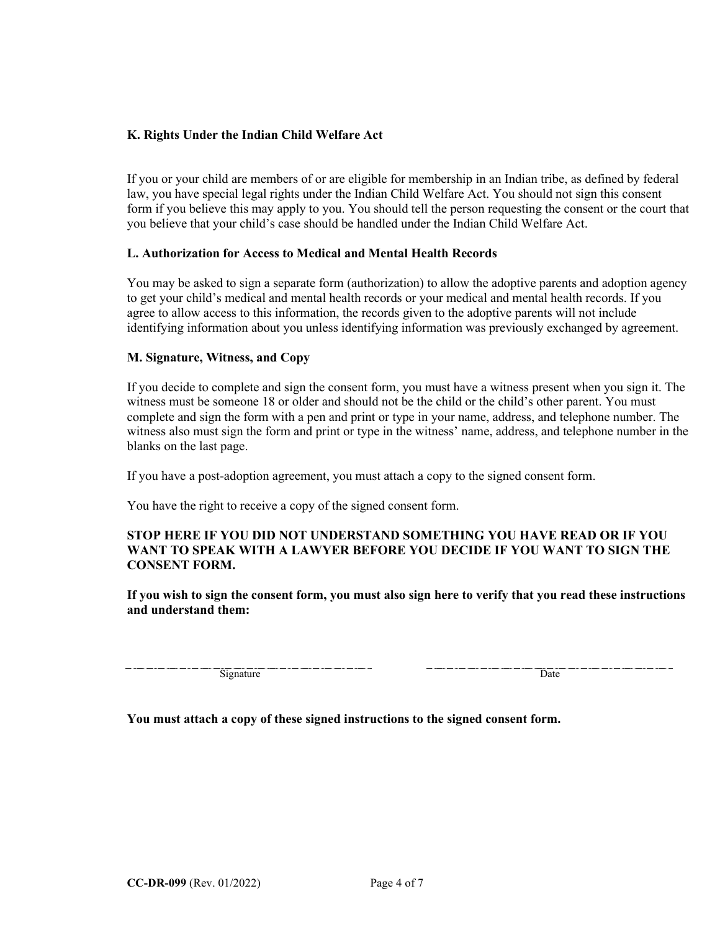### **K. Rights Under the Indian Child Welfare Act**

If you or your child are members of or are eligible for membership in an Indian tribe, as defined by federal law, you have special legal rights under the Indian Child Welfare Act. You should not sign this consent form if you believe this may apply to you. You should tell the person requesting the consent or the court that you believe that your child's case should be handled under the Indian Child Welfare Act.

#### **L. Authorization for Access to Medical and Mental Health Records**

You may be asked to sign a separate form (authorization) to allow the adoptive parents and adoption agency to get your child's medical and mental health records or your medical and mental health records. If you agree to allow access to this information, the records given to the adoptive parents will not include identifying information about you unless identifying information was previously exchanged by agreement.

### **M. Signature, Witness, and Copy**

If you decide to complete and sign the consent form, you must have a witness present when you sign it. The witness must be someone 18 or older and should not be the child or the child's other parent. You must complete and sign the form with a pen and print or type in your name, address, and telephone number. The witness also must sign the form and print or type in the witness' name, address, and telephone number in the blanks on the last page.

If you have a post-adoption agreement, you must attach a copy to the signed consent form.

You have the right to receive a copy of the signed consent form.

### **STOP HERE IF YOU DID NOT UNDERSTAND SOMETHING YOU HAVE READ OR IF YOU WANT TO SPEAK WITH A LAWYER BEFORE YOU DECIDE IF YOU WANT TO SIGN THE CONSENT FORM.**

**If you wish to sign the consent form, you must also sign here to verify that you read these instructions and understand them:**

Signature Date

**You must attach a copy of these signed instructions to the signed consent form.**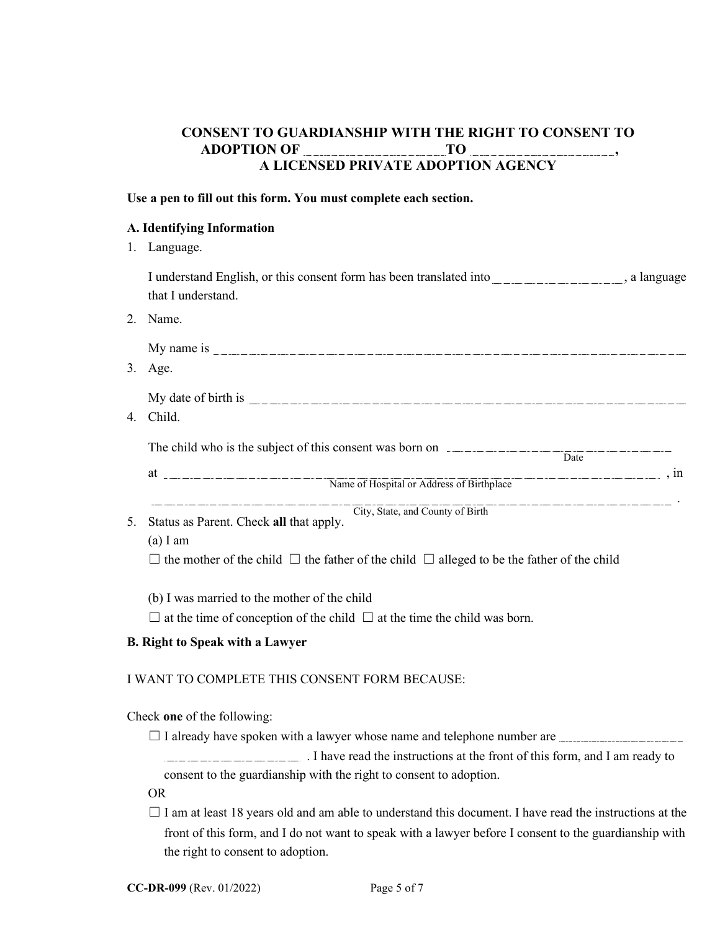# **CONSENT TO GUARDIANSHIP WITH THE RIGHT TO CONSENT TO ADOPTION OF TO , A LICENSED PRIVATE ADOPTION AGENCY**

#### **Use a pen to fill out this form. You must complete each section.**

#### **A. Identifying Information**

1. Language.

I understand English, or this consent form has been translated into \_\_\_\_\_\_\_\_\_\_\_\_\_\_\_\_\_\_\_\_, a language that I understand.

2. Name.

My name is **Example 2018** My name is

3. Age.

My date of birth is

4. Child.

The child who is the subject of this consent was born on at  $\overline{\phantom{a}}$  , in Date<sup>1</sup> Name of Hospital or Address of Birthplace

.

5. Status as Parent. Check **all** that apply. City, State, and County of Birth

 $(a)$  I am

 $□$  the mother of the child  $□$  the father of the child  $□$  alleged to be the father of the child

(b) I was married to the mother of the child

 $\Box$  at the time of conception of the child  $\Box$  at the time the child was born.

#### **B. Right to Speak with a Lawyer**

#### I WANT TO COMPLETE THIS CONSENT FORM BECAUSE:

Check **one** of the following:

 $\Box$  I already have spoken with a lawyer whose name and telephone number are  $\Box$ 

I have read the instructions at the front of this form, and I am ready to consent to the guardianship with the right to consent to adoption.

OR

 $\Box$  I am at least 18 years old and am able to understand this document. I have read the instructions at the front of this form, and I do not want to speak with a lawyer before I consent to the guardianship with the right to consent to adoption.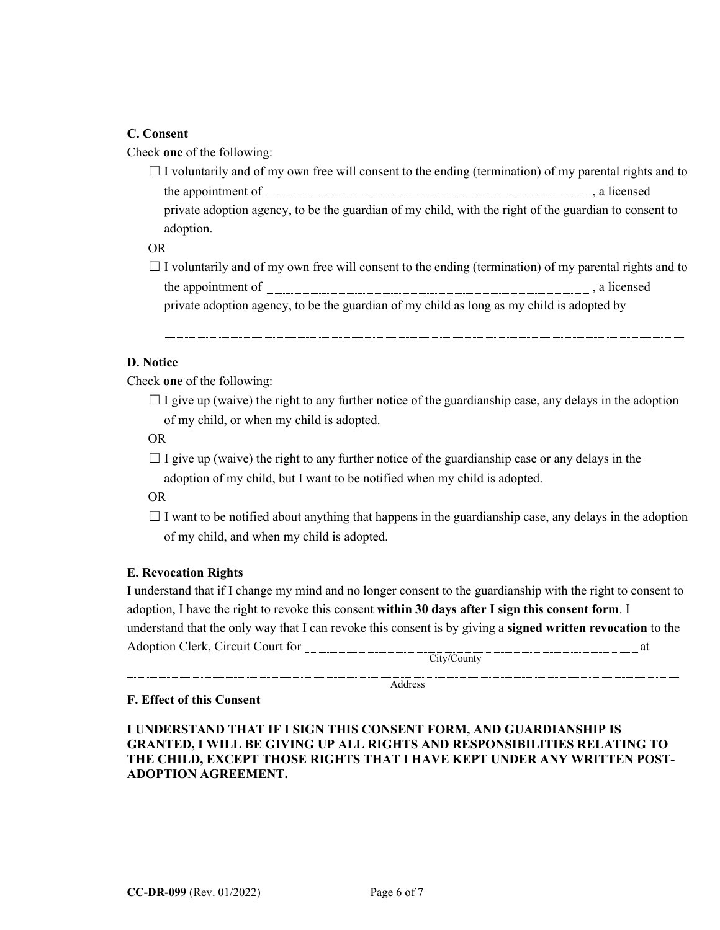### **C. Consent**

Check **one** of the following:

 $\Box$  I voluntarily and of my own free will consent to the ending (termination) of my parental rights and to the appointment of  $\qquad \qquad$ , a licensed private adoption agency, to be the guardian of my child, with the right of the guardian to consent to adoption.

# OR

 $\Box$  I voluntarily and of my own free will consent to the ending (termination) of my parental rights and to the appointment of , a licensed private adoption agency, to be the guardian of my child as long as my child is adopted by

# **D. Notice**

Check **one** of the following:

 $\Box$  I give up (waive) the right to any further notice of the guardianship case, any delays in the adoption of my child, or when my child is adopted.

OR

 $\Box$  I give up (waive) the right to any further notice of the guardianship case or any delays in the adoption of my child, but I want to be notified when my child is adopted.

OR

 $\Box$  I want to be notified about anything that happens in the guardianship case, any delays in the adoption of my child, and when my child is adopted.

### **E. Revocation Rights**

I understand that if I change my mind and no longer consent to the guardianship with the right to consent to adoption, I have the right to revoke this consent **within 30 days after I sign this consent form**. I understand that the only way that I can revoke this consent is by giving a **signed written revocation** to the Adoption Clerk, Circuit Court for  $\Box$  at City/County

Address

### **F. Effect of this Consent**

**I UNDERSTAND THAT IF I SIGN THIS CONSENT FORM, AND GUARDIANSHIP IS GRANTED, I WILL BE GIVING UP ALL RIGHTS AND RESPONSIBILITIES RELATING TO THE CHILD, EXCEPT THOSE RIGHTS THAT I HAVE KEPT UNDER ANY WRITTEN POST-ADOPTION AGREEMENT.**